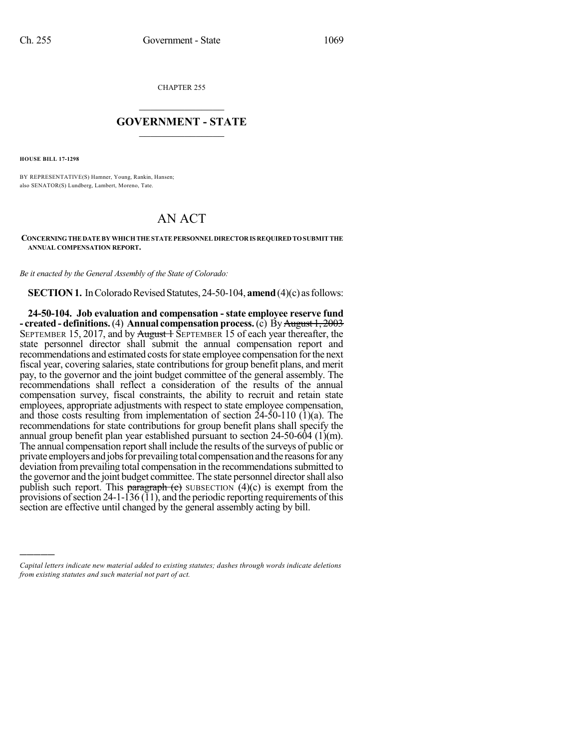CHAPTER 255

## $\overline{\phantom{a}}$  . The set of the set of the set of the set of the set of the set of the set of the set of the set of the set of the set of the set of the set of the set of the set of the set of the set of the set of the set o **GOVERNMENT - STATE**  $\_$

**HOUSE BILL 17-1298**

)))))

BY REPRESENTATIVE(S) Hamner, Young, Rankin, Hansen; also SENATOR(S) Lundberg, Lambert, Moreno, Tate.

## AN ACT

## **CONCERNINGTHEDATEBYWHICHTHESTATEPERSONNEL DIRECTORIS REQUIREDTOSUBMITTHE ANNUAL COMPENSATION REPORT.**

*Be it enacted by the General Assembly of the State of Colorado:*

**SECTION 1.** In Colorado Revised Statutes, 24-50-104, **amend** (4)(c) as follows:

**24-50-104. Job evaluation and compensation - state employee reserve fund - created - definitions.** (4) **Annual compensation process.** (c) By August 1, 2003 SEPTEMBER 15, 2017, and by  $\frac{\text{August} + \text{Supers}}{\text{Supers}}$  15 of each year thereafter, the state personnel director shall submit the annual compensation report and recommendations and estimated costs for state employee compensation for the next fiscal year, covering salaries, state contributions for group benefit plans, and merit pay, to the governor and the joint budget committee of the general assembly. The recommendations shall reflect a consideration of the results of the annual compensation survey, fiscal constraints, the ability to recruit and retain state employees, appropriate adjustments with respect to state employee compensation, and those costs resulting from implementation of section  $24-50-110$  (1)(a). The recommendations for state contributions for group benefit plans shall specify the annual group benefit plan year established pursuant to section  $24-50-604$  (1)(m). The annual compensation reportshall include the results of the surveys of public or private employers and jobs for prevailing total compensation and the reasons for any deviation from prevailing total compensation in the recommendations submitted to the governor and the joint budget committee. The state personnel directorshall also publish such report. This paragraph (c) SUBSECTION  $(4)(c)$  is exempt from the provisions of section 24-1-136  $(11)$ , and the periodic reporting requirements of this section are effective until changed by the general assembly acting by bill.

*Capital letters indicate new material added to existing statutes; dashes through words indicate deletions from existing statutes and such material not part of act.*